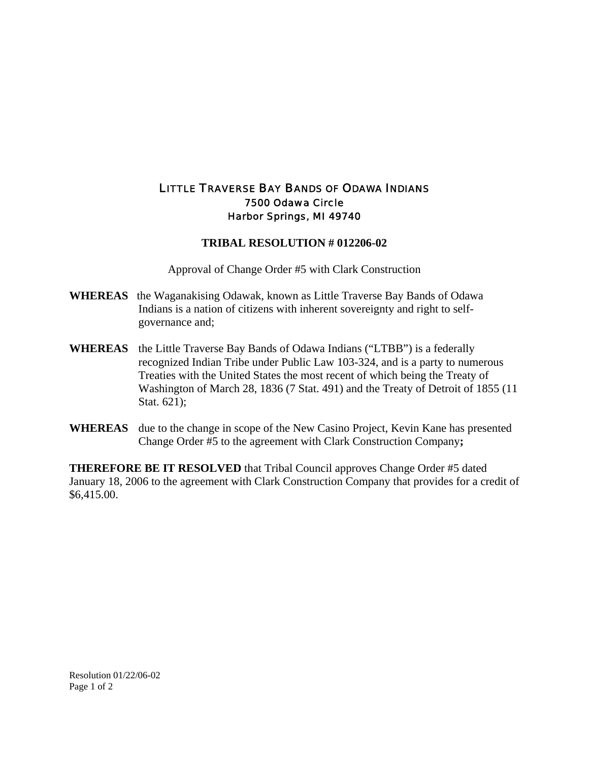## LITTLE TRAVERSE BAY BANDS OF ODAWA INDIANS 7500 Odawa Circle Harbor Springs, MI 49740

## **TRIBAL RESOLUTION # 012206-02**

Approval of Change Order #5 with Clark Construction

- **WHEREAS** the Waganakising Odawak, known as Little Traverse Bay Bands of Odawa Indians is a nation of citizens with inherent sovereignty and right to selfgovernance and;
- **WHEREAS** the Little Traverse Bay Bands of Odawa Indians ("LTBB") is a federally recognized Indian Tribe under Public Law 103-324, and is a party to numerous Treaties with the United States the most recent of which being the Treaty of Washington of March 28, 1836 (7 Stat. 491) and the Treaty of Detroit of 1855 (11 Stat. 621);
- **WHEREAS** due to the change in scope of the New Casino Project, Kevin Kane has presented Change Order #5 to the agreement with Clark Construction Company**;**

**THEREFORE BE IT RESOLVED** that Tribal Council approves Change Order #5 dated January 18, 2006 to the agreement with Clark Construction Company that provides for a credit of \$6,415.00.

Resolution 01/22/06-02 Page 1 of 2